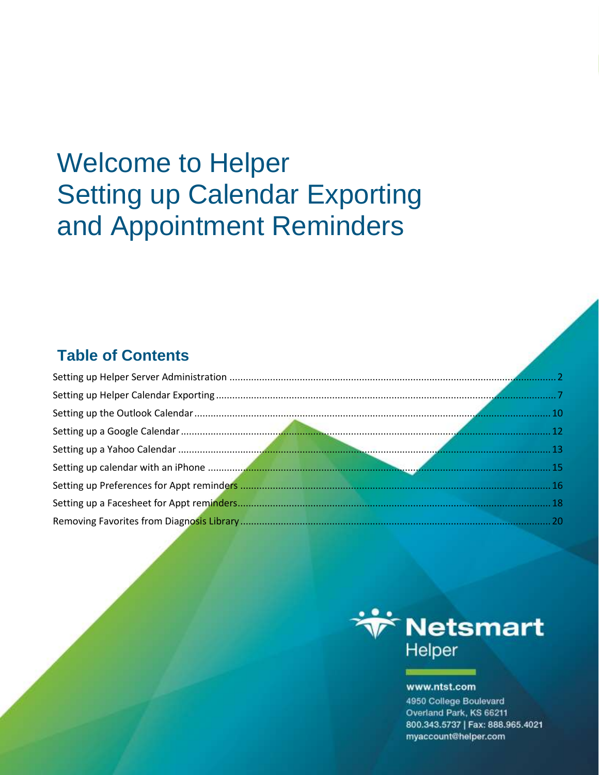# **Welcome to Helper Setting up Calendar Exporting** and Appointment Reminders

## **Table of Contents**



#### www.ntst.com

4950 College Boulevard Overland Park, KS 66211 800.343.5737 | Fax: 888.965.4021 myaccount@helper.com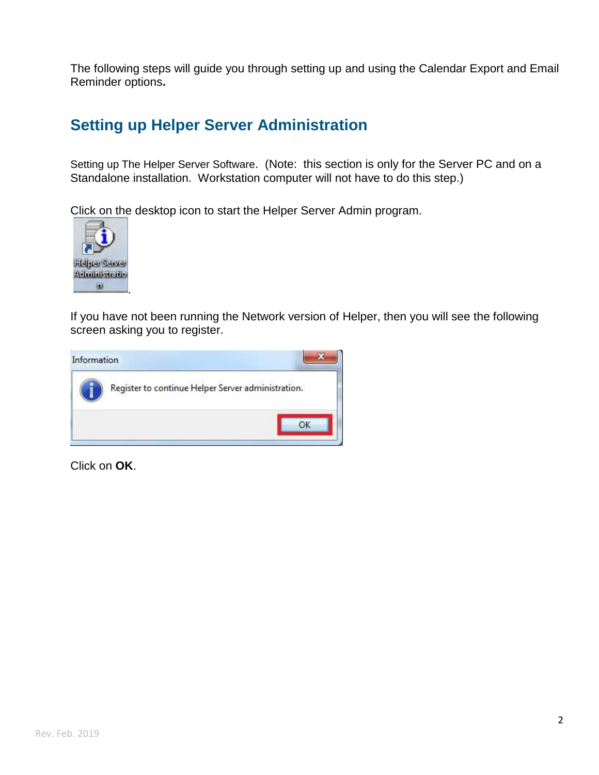The following steps will guide you through setting up and using the Calendar Export and Email Reminder options**.**

### <span id="page-2-0"></span>**Setting up Helper Server Administration**

Setting up The Helper Server Software. (Note: this section is only for the Server PC and on a Standalone installation. Workstation computer will not have to do this step.)

Click on the desktop icon to start the Helper Server Admin program.



If you have not been running the Network version of Helper, then you will see the following screen asking you to register.

| Information                                        |  |
|----------------------------------------------------|--|
| Register to continue Helper Server administration. |  |
|                                                    |  |

Click on **OK**.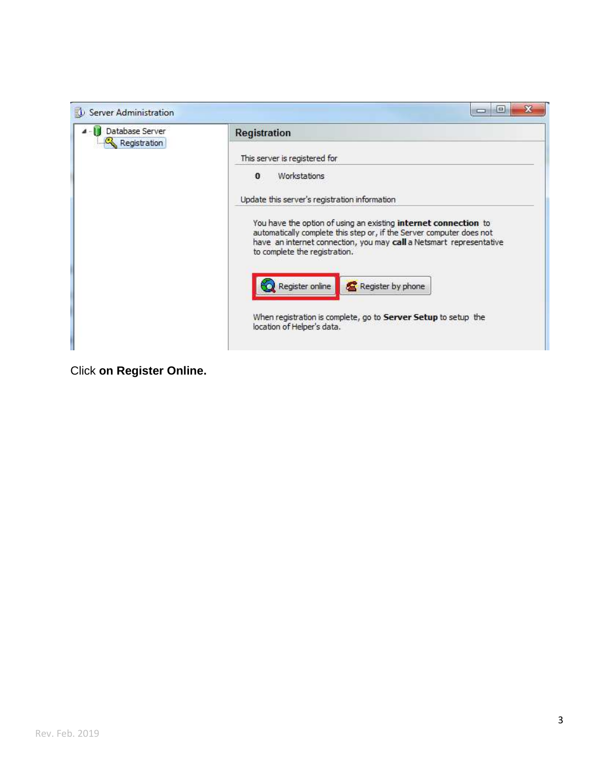

Click **on Register Online.**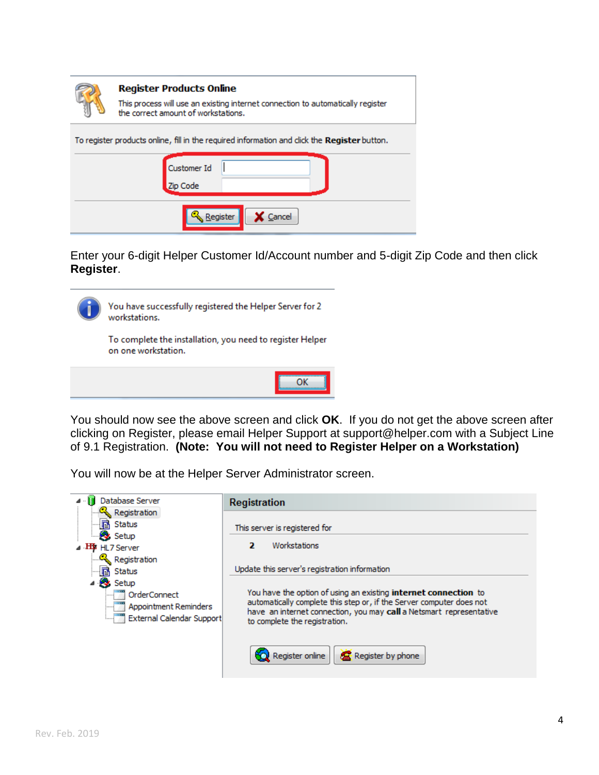| <b>Register Products Online</b><br>This process will use an existing internet connection to automatically register<br>the correct amount of workstations. |
|-----------------------------------------------------------------------------------------------------------------------------------------------------------|
| To register products online, fill in the required information and dick the Register button.<br><b>Customer Id</b><br>Zip Code                             |
| Cancel<br>Register                                                                                                                                        |

Enter your 6-digit Helper Customer Id/Account number and 5-digit Zip Code and then click **Register**.



You have successfully registered the Helper Server for 2 workstations.

To complete the installation, you need to register Helper on one workstation.

You should now see the above screen and click **OK**. If you do not get the above screen after clicking on Register, please email Helper Support at support@helper.com with a Subject Line of 9.1 Registration. **(Note: You will not need to Register Helper on a Workstation)**

You will now be at the Helper Server Administrator screen.

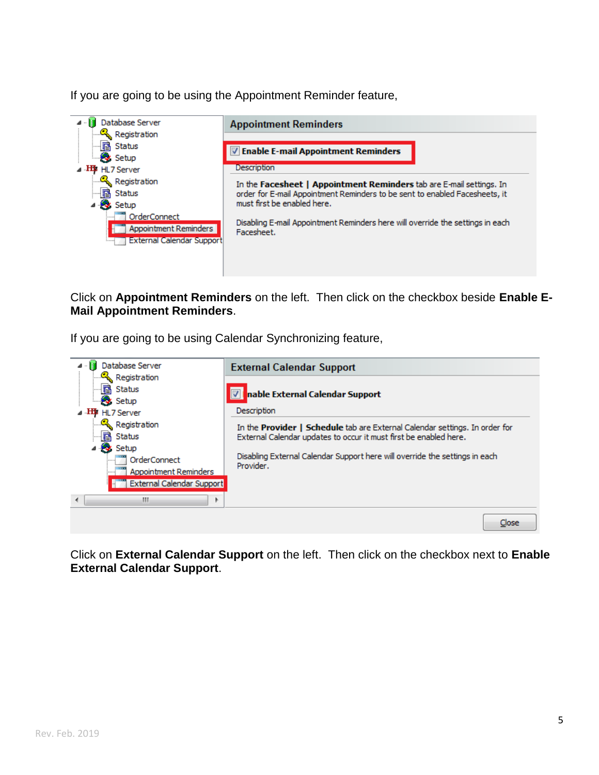If you are going to be using the Appointment Reminder feature,



Click on **Appointment Reminders** on the left. Then click on the checkbox beside **Enable E-Mail Appointment Reminders**.

If you are going to be using Calendar Synchronizing feature,



Click on **External Calendar Support** on the left. Then click on the checkbox next to **Enable External Calendar Support**.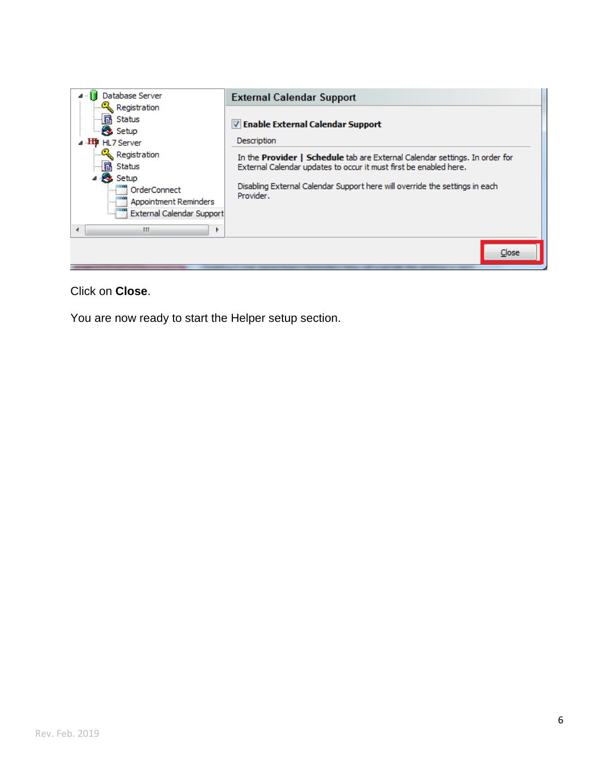

#### Click on **Close**.

You are now ready to start the Helper setup section.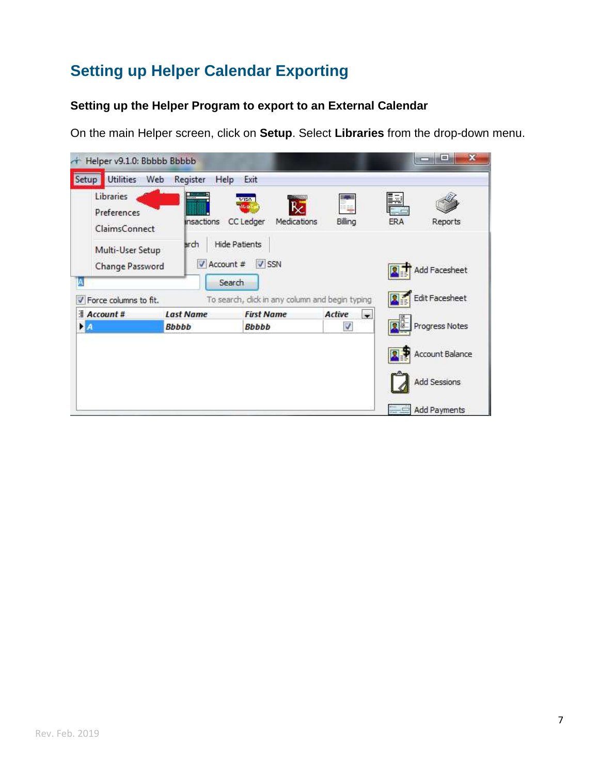# <span id="page-7-0"></span>**Setting up Helper Calendar Exporting**

#### **Setting up the Helper Program to export to an External Calendar**

On the main Helper screen, click on **Setup**. Select **Libraries** from the drop-down menu.

| Helper v9.1.0: Bbbbb Bbbbb<br><b>Utilities</b><br>Setup       | Web<br>Register                                | Help<br>Exit                                                                                 |                                    | $\mathbf x$<br>$\blacksquare$          |
|---------------------------------------------------------------|------------------------------------------------|----------------------------------------------------------------------------------------------|------------------------------------|----------------------------------------|
| Libraries<br>Preferences<br>ClaimsConnect<br>Multi-User Setup | $\overline{\phantom{a}}$<br>insactions<br>arch | <b>Hills</b> (Bit)<br>VISA<br>₿Ž<br>Mar4<br>CC Ledger<br>Medications<br><b>Hide Patients</b> | Billing                            | Þ<br><b>ERA</b><br>Reports             |
| Change Password<br>A<br>Force columns to fit.<br>V            | Account #                                      | $V$ SSN<br>Search<br>To search, dick in any column and begin typing                          |                                    | <b>Add Facesheet</b><br>Edit Facesheet |
| $Account$ #                                                   | <b>Last Name</b>                               | <b>First Name</b>                                                                            | $\overline{\phantom{a}}$<br>Active |                                        |
| <b>E</b> A                                                    | <b>Bbbbb</b>                                   | <b>Bbbbb</b>                                                                                 | V                                  | Progress Notes                         |
|                                                               |                                                |                                                                                              |                                    | Account Balance<br>Add Sessions        |
|                                                               |                                                |                                                                                              |                                    | <b>Add Payments</b>                    |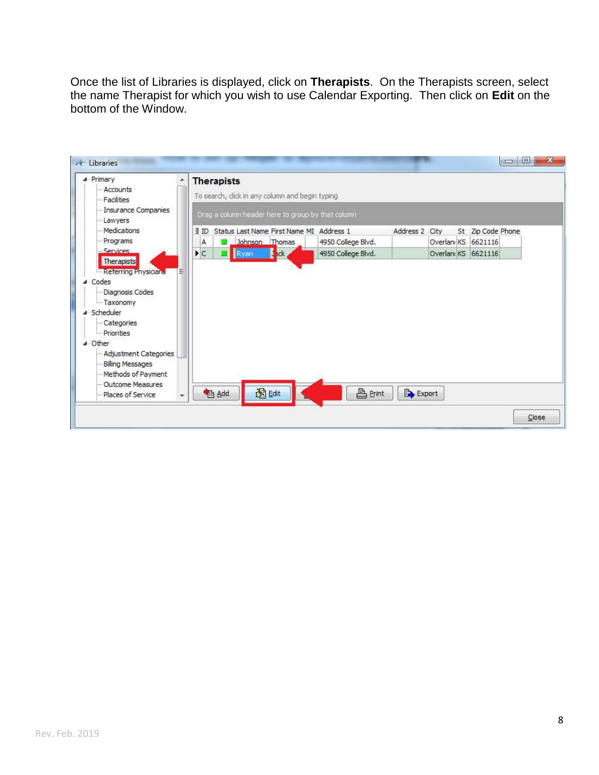Once the list of Libraries is displayed, click on **Therapists**. On the Therapists screen, select the name Therapist for which you wish to use Calendar Exporting. Then click on **Edit** on the bottom of the Window.

| <b>4</b> Primary                                                                                                                                   | 盗<br><b>Therapists</b>                            |                          |                    |                |                     |                   |  |
|----------------------------------------------------------------------------------------------------------------------------------------------------|---------------------------------------------------|--------------------------|--------------------|----------------|---------------------|-------------------|--|
| - Accounts<br>Facilities                                                                                                                           | To search, dick in any column and begin typing    |                          |                    |                |                     |                   |  |
| <b>Insurance Companies</b><br>Lawyers                                                                                                              | Drag a column header here to group by that column |                          |                    |                |                     |                   |  |
| Medications                                                                                                                                        | ∃ ID<br>Status Last Name First Name MI Address 1  |                          |                    | Address 2 City |                     | St Zip Code Phone |  |
| Programs                                                                                                                                           | Johnson Thomas<br>A                               |                          | 4950 College Blvd. |                | Overlanı KS 6621116 |                   |  |
| - Services<br>Therapists                                                                                                                           | $\blacktriangleright$ C<br>Ryan                   | $\blacksquare$ . The set | 4950 College Blvd. |                | Overlanı KS 6621116 |                   |  |
| · Scheduler<br>- Categories<br>Priorities<br>⊿ Other<br>Adjustment Categories<br><b>Billing Messages</b><br>Methods of Payment<br>Outcome Measures |                                                   |                          |                    |                |                     |                   |  |
| Places of Service                                                                                                                                  | 图 Edit<br><b>B</b> Add                            |                          | <b>A</b> Print     | Export         |                     |                   |  |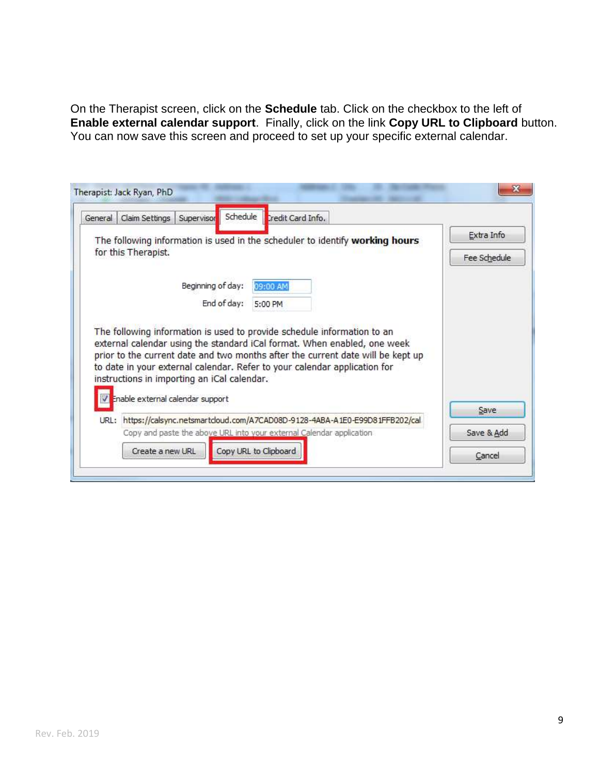On the Therapist screen, click on the **Schedule** tab. Click on the checkbox to the left of **Enable external calendar support**. Finally, click on the link **Copy URL to Clipboard** button. You can now save this screen and proceed to set up your specific external calendar.

| General                                                                            | Claim Settings                                                                  | Supervisor        | Schedule<br>Credit Card Info.                                                                                                                                                                                                            |  |  |                            |
|------------------------------------------------------------------------------------|---------------------------------------------------------------------------------|-------------------|------------------------------------------------------------------------------------------------------------------------------------------------------------------------------------------------------------------------------------------|--|--|----------------------------|
|                                                                                    | for this Therapist.                                                             |                   | The following information is used in the scheduler to identify working hours                                                                                                                                                             |  |  | Extra Info<br>Fee Schedule |
|                                                                                    |                                                                                 | Beginning of day: | 09:00 AM                                                                                                                                                                                                                                 |  |  |                            |
|                                                                                    |                                                                                 | End of day:       | 5:00 PM                                                                                                                                                                                                                                  |  |  |                            |
|                                                                                    | instructions in importing an iCal calendar.<br>Enable external calendar support |                   | external calendar using the standard iCal format. When enabled, one week<br>prior to the current date and two months after the current date will be kept up<br>to date in your external calendar. Refer to your calendar application for |  |  | Save                       |
| https://calsync.netsmartcloud.com/A7CAD08D-9128-4ABA-A1E0-E99D81FFB202/cal<br>URL: |                                                                                 |                   |                                                                                                                                                                                                                                          |  |  |                            |
|                                                                                    | Copy and paste the above URL into your external Calendar application            |                   |                                                                                                                                                                                                                                          |  |  | Save & Add                 |
|                                                                                    |                                                                                 |                   |                                                                                                                                                                                                                                          |  |  |                            |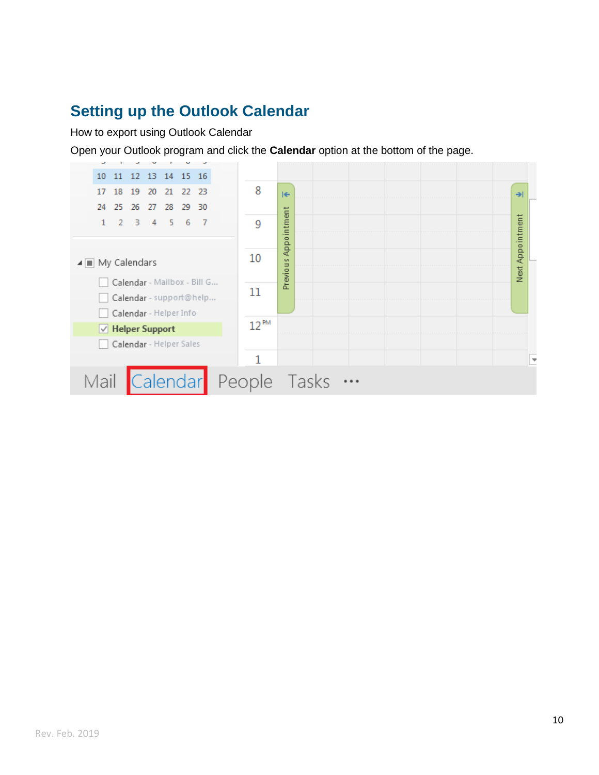### <span id="page-10-0"></span>**[Setting up the Outlook Calendar](#page-10-0)**

How to export using Outlook Calendar

Open your Outlook program and click the **Calendar** option at the bottom of the page.

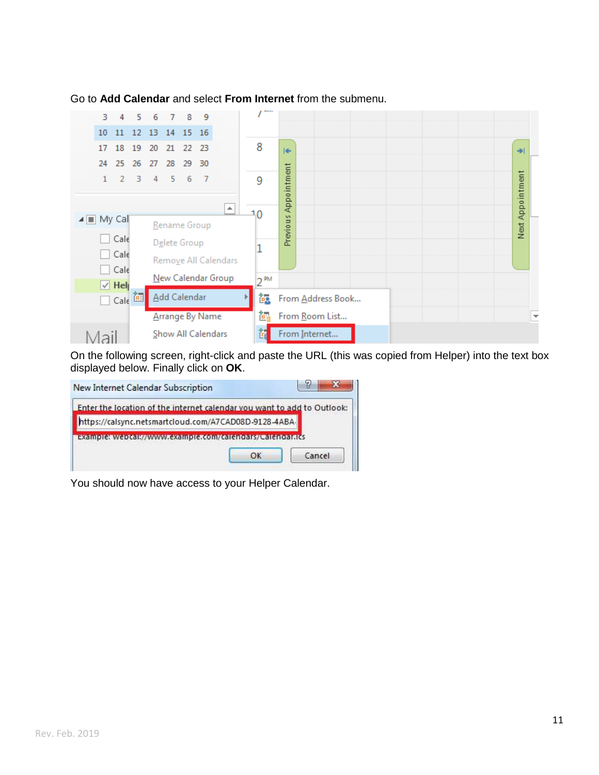| 3                                          | 4           | 5  | 6               | $\overline{7}$      | 8  | 9                      |                      | <b>PRINT</b>    |                                   |                          |
|--------------------------------------------|-------------|----|-----------------|---------------------|----|------------------------|----------------------|-----------------|-----------------------------------|--------------------------|
| 10                                         | 11          | 12 | 13 <sup>°</sup> | 14                  | 15 | <sup>16</sup>          |                      |                 |                                   |                          |
| 17                                         | 18          | 19 | 20              | 21                  | 22 | 23                     |                      | 8               | $\left  \right.$<br>$\rightarrow$ |                          |
| 24                                         | 25          | 26 | 27              | 28                  | 29 | 30                     |                      |                 |                                   |                          |
|                                            | 2           | з  | 4               | 5                   | 6  | - 7                    |                      | 9               | Appointment<br>Next Appointment   |                          |
|                                            |             |    |                 |                     |    |                        | ┻                    | 10              |                                   |                          |
| $\blacktriangleleft$ $\blacksquare$ My Cal |             |    |                 | Rename Group        |    |                        |                      |                 | Previous                          |                          |
|                                            | Cale        |    |                 | Delete Group        |    |                        |                      |                 |                                   |                          |
|                                            | Cale        |    |                 |                     |    |                        | Remove All Calendars |                 |                                   |                          |
|                                            | Cale        |    |                 |                     |    |                        | New Calendar Group   | n <sub>PM</sub> |                                   |                          |
|                                            | $\vee$ Help |    |                 |                     |    |                        |                      |                 |                                   |                          |
|                                            | Calc        | o. |                 | <b>Add Calendar</b> |    |                        |                      | 亟               | From Address Book                 |                          |
|                                            |             |    |                 |                     |    | <b>Arrange By Name</b> |                      | ē.              | From Room List                    | $\overline{\phantom{a}}$ |
| aı                                         |             |    |                 |                     |    | Show All Calendars     |                      | $\epsilon$      | From Internet                     |                          |

Go to **Add Calendar** and select **From Internet** from the submenu.

On the following screen, right-click and paste the URL (this was copied from Helper) into the text box displayed below. Finally click on **OK**.

| https://calsync.netsmartcloud.com/A7CAD08D-9128-4ABA-<br>example: webcall//www.example.com/calendals/calendal.ics | Enter the location of the internet calendar you want to add to Outlook: |  |
|-------------------------------------------------------------------------------------------------------------------|-------------------------------------------------------------------------|--|
|                                                                                                                   |                                                                         |  |
|                                                                                                                   |                                                                         |  |

You should now have access to your Helper Calendar.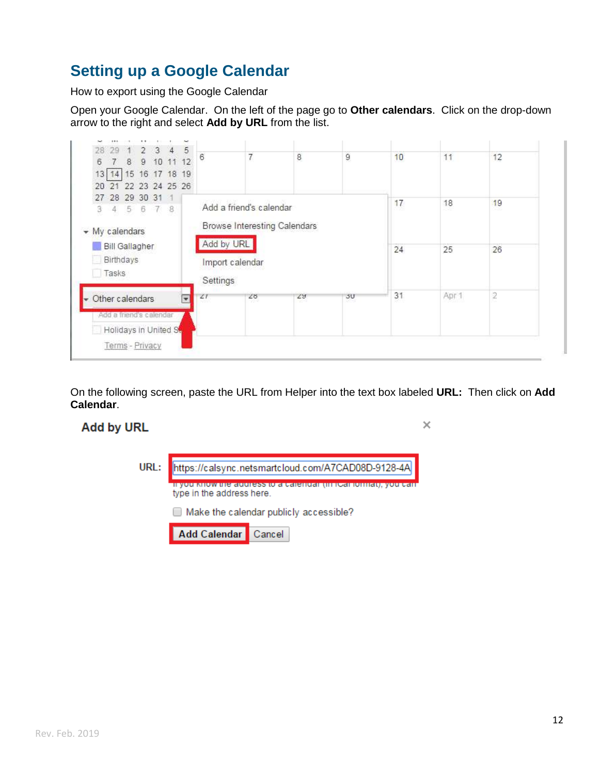### <span id="page-12-0"></span>**Setting up a Google Calendar**

How to export using the Google Calendar

Open your Google Calendar. On the left of the page go to **Other calendars**. Click on the drop-down arrow to the right and select **Add by URL** from the list.



On the following screen, paste the URL from Helper into the text box labeled **URL:** Then click on **Add Calendar**.

#### **Add by URL**

| ٠ | ÷ |  |
|---|---|--|
|   |   |  |

| URL: |                           | https://calsync.netsmartcloud.com/A7CAD08D-9128-4A |
|------|---------------------------|----------------------------------------------------|
|      | type in the address here. | e audress to a calendar (in itsal lomiat), yo      |
|      |                           | $\Box$ Make the calendar publicly accessible?      |
|      | Add Calendar Cancel       |                                                    |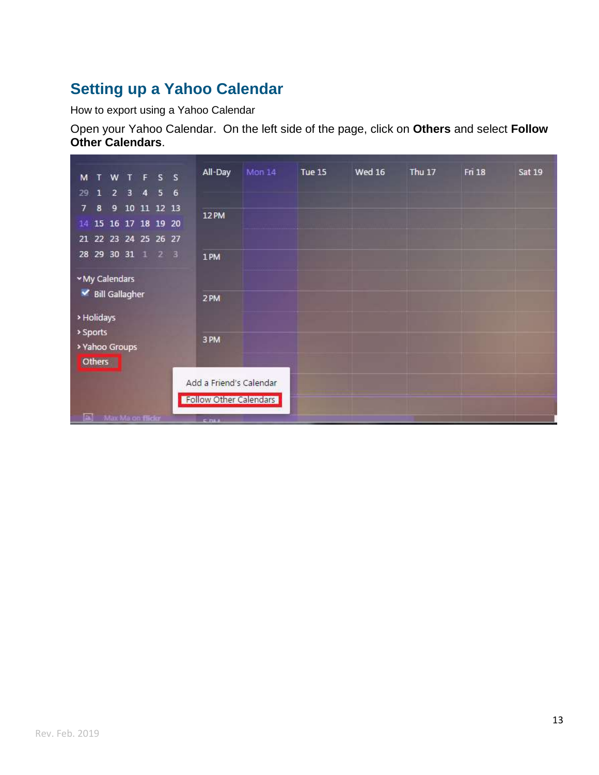### <span id="page-13-0"></span>**[Setting up a Yahoo Calendar](#page-13-0)**

How to export using a Yahoo Calendar

Open your Yahoo Calendar. On the left side of the page, click on **Others** and select **Follow Other Calendars**.

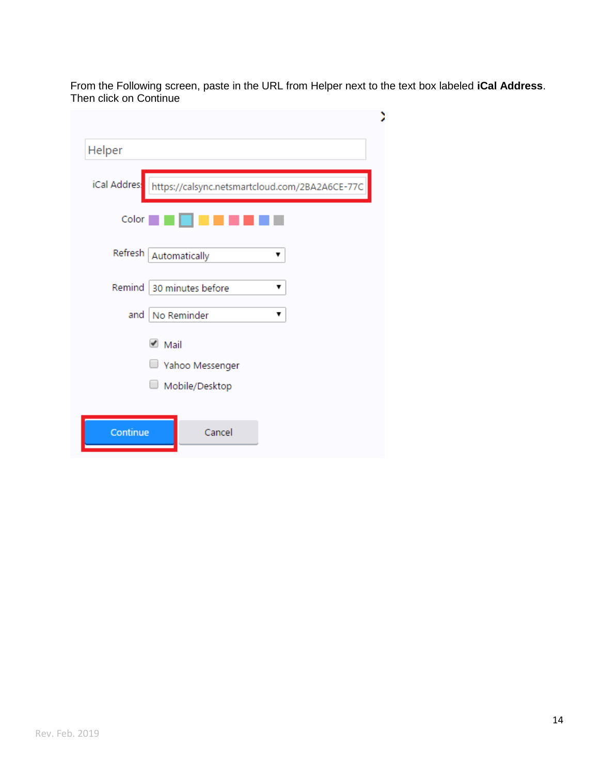From the Following screen, paste in the URL from Helper next to the text box labeled **iCal Address**. Then click on Continue

Þ

| Helper       |                                                |
|--------------|------------------------------------------------|
| iCal Addres: | https://calsync.netsmartcloud.com/2BA2A6CE-77C |
| Color        |                                                |
| Refresh      | Automatically<br>▼                             |
| Remind       | 30 minutes before<br>▼                         |
| and          | No Reminder                                    |
|              | $\blacksquare$ Mail<br>Yahoo Messenger         |
|              | Mobile/Desktop                                 |
|              |                                                |
| Continue     | Cancel                                         |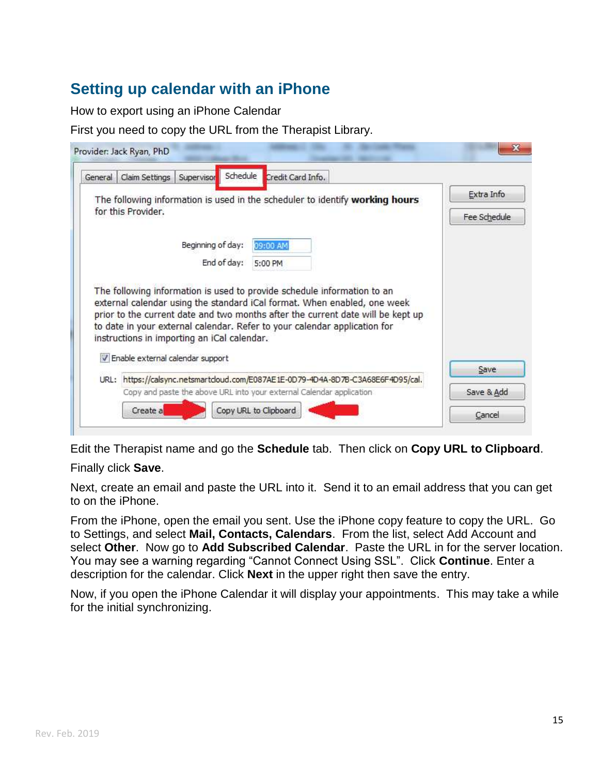### <span id="page-15-0"></span>**Setting up calendar with an iPhone**

How to export using an iPhone Calendar

First you need to copy the URL from the Therapist Library.

|                    | General Claim Settings                      | Supervisor        | Schedule    | Credit Card Info.                                                                                                                                                                                                                        |            |
|--------------------|---------------------------------------------|-------------------|-------------|------------------------------------------------------------------------------------------------------------------------------------------------------------------------------------------------------------------------------------------|------------|
|                    |                                             |                   |             | The following information is used in the scheduler to identify working hours                                                                                                                                                             | Extra Info |
| for this Provider. |                                             |                   |             | Fee Schedule                                                                                                                                                                                                                             |            |
|                    |                                             | Beginning of day: |             | 09:00 AM                                                                                                                                                                                                                                 |            |
|                    |                                             |                   | End of day: | 5:00 PM                                                                                                                                                                                                                                  |            |
|                    | instructions in importing an iCal calendar. |                   |             | external calendar using the standard iCal format. When enabled, one week<br>prior to the current date and two months after the current date will be kept up<br>to date in your external calendar. Refer to your calendar application for |            |
|                    | V Enable external calendar support          |                   |             |                                                                                                                                                                                                                                          | Save       |
|                    |                                             |                   |             | URL: https://calsync.netsmartcloud.com/E087AE1E-0D79-4D4A-8D7B-C3A68E6F4D95/cal.<br>Copy and paste the above URL into your external Calendar application                                                                                 | Save & Add |

Edit the Therapist name and go the **Schedule** tab. Then click on **Copy URL to Clipboard**.

Finally click **Save**.

Next, create an email and paste the URL into it. Send it to an email address that you can get to on the iPhone.

From the iPhone, open the email you sent. Use the iPhone copy feature to copy the URL. Go to Settings, and select **Mail, Contacts, Calendars**. From the list, select Add Account and select **Other**. Now go to **Add Subscribed Calendar**. Paste the URL in for the server location. You may see a warning regarding "Cannot Connect Using SSL". Click **Continue**. Enter a description for the calendar. Click **Next** in the upper right then save the entry.

Now, if you open the iPhone Calendar it will display your appointments. This may take a while for the initial synchronizing.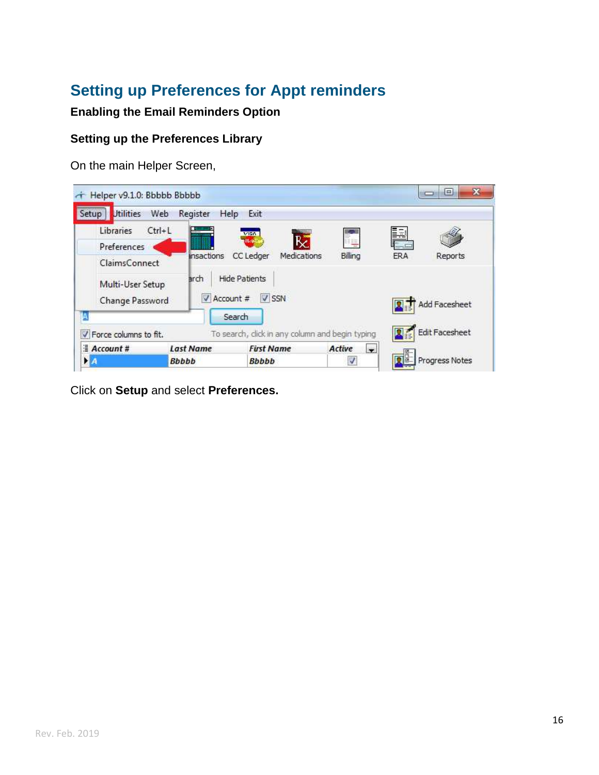# <span id="page-16-0"></span>**Setting up Preferences for Appt reminders**

#### **Enabling the Email Reminders Option**

#### **Setting up the Preferences Library**

On the main Helper Screen,

| Helper v9.1.0: Bbbbb Bbbbb          |                                  |                                                 |                                    |     | ×<br>e                |
|-------------------------------------|----------------------------------|-------------------------------------------------|------------------------------------|-----|-----------------------|
| <b>Utilities</b><br>Setup           | Web<br>Register<br>Help          | Exit                                            |                                    |     |                       |
| Libraries                           | $Ctrl + L$                       | <b>URBANISM</b><br><b>VISA</b>                  |                                    | Þ   |                       |
| Preferences                         |                                  | ₿č<br><b>MARK</b>                               |                                    |     |                       |
| ClaimsConnect                       | <b>Insactions</b>                | <b>CC</b> Ledger<br>Medications                 | Billing                            | ERA | Reports               |
| Multi-User Setup<br>Change Password | arch<br>Account #                | <b>Hide Patients</b><br>$V$ SSN                 |                                    |     | Add Facesheet         |
|                                     |                                  | Search                                          |                                    |     |                       |
| V Force columns to fit.             |                                  | To search, click in any column and begin typing |                                    |     | <b>Edit Facesheet</b> |
| $A$ ccount#<br>$\mathbf{A}$         | <b>Last Name</b><br><b>Bbbbb</b> | <b>First Name</b><br><b>Bbbbb</b>               | $\overline{\phantom{a}}$<br>Active |     | Progress Notes        |

Click on **Setup** and select **Preferences.**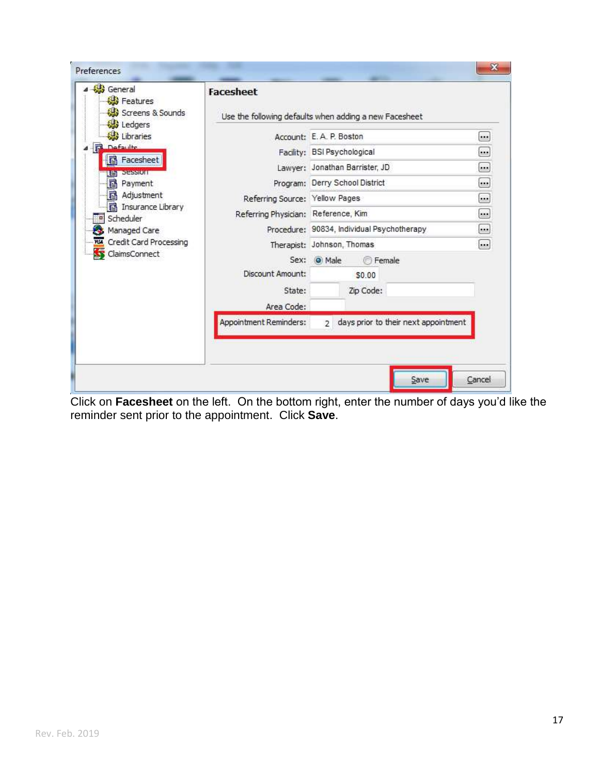| General                                                                                                   | <b>Facesheet</b>                                       |                                                        |         |  |
|-----------------------------------------------------------------------------------------------------------|--------------------------------------------------------|--------------------------------------------------------|---------|--|
| <b>Reatures</b><br>Screens & Sounds<br>Ledgers                                                            | Use the following defaults when adding a new Facesheet |                                                        |         |  |
| Libraries<br><b>R</b> Defaulte                                                                            |                                                        | Account: E.A. P. Boston                                | $\cdot$ |  |
|                                                                                                           |                                                        | Facility: BSI Psychological                            |         |  |
| <b>hacesheet</b><br><b>EET SESSION</b>                                                                    |                                                        | Lawyer: Jonathan Barrister, JD                         |         |  |
| <b>B</b> Payment                                                                                          |                                                        | Program: Derry School District                         |         |  |
| <b>i</b> a Adjustment                                                                                     | Referring Source: Yellow Pages                         |                                                        |         |  |
| <b>B</b> Insurance Library<br><sup>¤</sup> Scheduler<br>Managed Care<br><b>NSA</b> Credit Card Processing | Referring Physician: Reference, Kim                    |                                                        |         |  |
|                                                                                                           |                                                        | Procedure: 90834, Individual Psychotherapy             |         |  |
|                                                                                                           |                                                        | Therapist: Johnson, Thomas                             |         |  |
| SS ClaimsConnect                                                                                          | Sex:                                                   | <b>Female</b><br>O Male                                |         |  |
|                                                                                                           | Discount Amount:                                       | \$0.00                                                 |         |  |
|                                                                                                           | State:                                                 | Zip Code:                                              |         |  |
|                                                                                                           | Area Code:                                             |                                                        |         |  |
|                                                                                                           | Appointment Reminders:                                 | days prior to their next appointment<br>$\overline{2}$ |         |  |
|                                                                                                           |                                                        |                                                        |         |  |
|                                                                                                           |                                                        |                                                        |         |  |
|                                                                                                           |                                                        |                                                        |         |  |

Click on **Facesheet** on the left. On the bottom right, enter the number of days you'd like the reminder sent prior to the appointment. Click **Save**.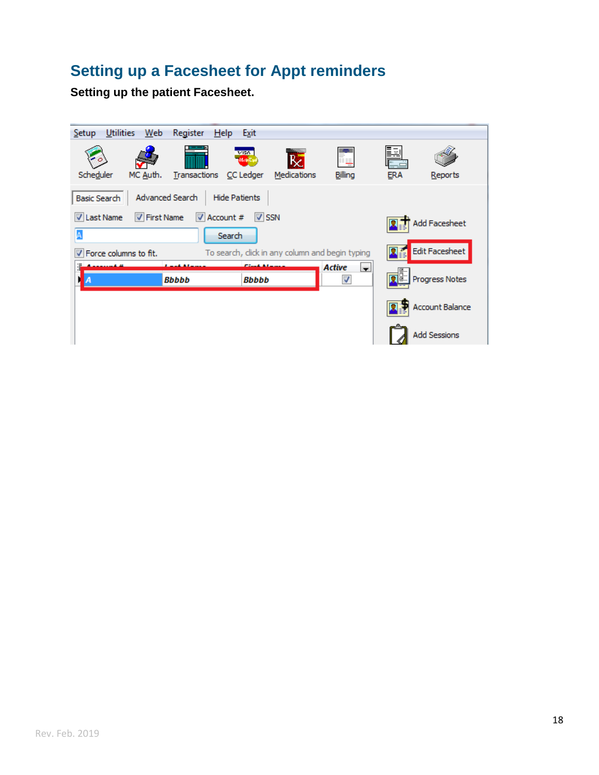# <span id="page-18-0"></span>**[Setting up a Facesheet for Appt reminders](#page-18-1)**

<span id="page-18-1"></span>**Setting up the patient Facesheet.**

| Utilities<br>Web<br>Setup                     | Register                      | Help Exit                                |                                                 |                           |                 |                        |
|-----------------------------------------------|-------------------------------|------------------------------------------|-------------------------------------------------|---------------------------|-----------------|------------------------|
| Scheduler<br>MC Auth.                         | $r_{\rm max}$<br>Transactions | VISN <sub>1</sub><br>Months<br>CC Ledger | <b>MARKET</b><br>Medications                    | Billing                   | Þ<br><b>ERA</b> | Reports                |
| <b>Advanced Search</b><br><b>Basic Search</b> |                               | <b>Hide Patients</b>                     |                                                 |                           |                 |                        |
| <b>V</b> First Name<br><b>V</b> Last Name     | $\triangledown$ Account #     | $V$ SSN                                  |                                                 |                           |                 | <b>Add Facesheet</b>   |
| A                                             | Search                        |                                          |                                                 |                           |                 | Edit Facesheet         |
| V Force columns to fit.                       |                               | <b>Count Att</b>                         | To search, click in any column and begin typing |                           |                 |                        |
| ÷<br>А                                        | <b>Bbbbb</b>                  | Bbbbb                                    |                                                 | <b>Active</b><br>le.<br>√ |                 | Progress Notes         |
|                                               |                               |                                          |                                                 |                           |                 | <b>Account Balance</b> |
|                                               |                               |                                          |                                                 |                           |                 | <b>Add Sessions</b>    |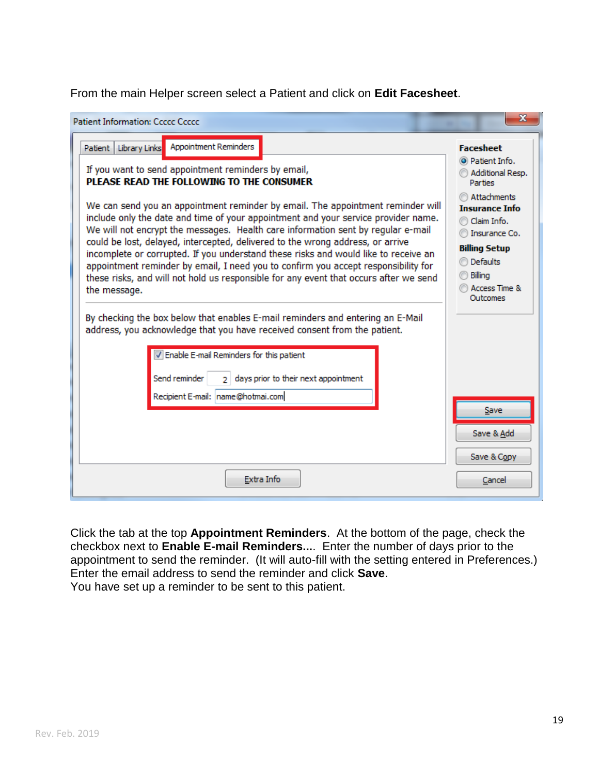From the main Helper screen select a Patient and click on **Edit Facesheet**.

| <b>Patient Information: Ccccc Ccccc</b>                                                                                                                                                                                                                                                                                                                                                                                                                                                                                                                                                                                                                                                                                                                                                          | Ж                                                                                                                                                                  |
|--------------------------------------------------------------------------------------------------------------------------------------------------------------------------------------------------------------------------------------------------------------------------------------------------------------------------------------------------------------------------------------------------------------------------------------------------------------------------------------------------------------------------------------------------------------------------------------------------------------------------------------------------------------------------------------------------------------------------------------------------------------------------------------------------|--------------------------------------------------------------------------------------------------------------------------------------------------------------------|
| Library Links Appointment Reminders<br>Patient                                                                                                                                                                                                                                                                                                                                                                                                                                                                                                                                                                                                                                                                                                                                                   | <b>Facesheet</b>                                                                                                                                                   |
| If you want to send appointment reminders by email,<br>PLEASE READ THE FOLLOWING TO THE CONSUMER                                                                                                                                                                                                                                                                                                                                                                                                                                                                                                                                                                                                                                                                                                 | O Patient Info.<br>Additional Resp.<br><b>Parties</b>                                                                                                              |
| We can send you an appointment reminder by email. The appointment reminder will<br>include only the date and time of your appointment and your service provider name.<br>We will not encrypt the messages. Health care information sent by regular e-mail<br>could be lost, delayed, intercepted, delivered to the wrong address, or arrive<br>incomplete or corrupted. If you understand these risks and would like to receive an<br>appointment reminder by email, I need you to confirm you accept responsibility for<br>these risks, and will not hold us responsible for any event that occurs after we send<br>the message.<br>By checking the box below that enables E-mail reminders and entering an E-Mail<br>address, you acknowledge that you have received consent from the patient. | Attachments<br><b>Insurance Info</b><br>Claim Info.<br>Insurance Co.<br><b>Billing Setup</b><br><b>Defaults</b><br>Billing<br><b>Access Time &amp;</b><br>Outcomes |
| V Enable E-mail Reminders for this patient<br>days prior to their next appointment<br>Send reminder<br>$\overline{2}$<br>Recipient E-mail: name@hotmai.com                                                                                                                                                                                                                                                                                                                                                                                                                                                                                                                                                                                                                                       | Save<br>Save & Add<br>Save & Copy                                                                                                                                  |
| Extra Info                                                                                                                                                                                                                                                                                                                                                                                                                                                                                                                                                                                                                                                                                                                                                                                       | Cancel                                                                                                                                                             |

Click the tab at the top **Appointment Reminders**. At the bottom of the page, check the checkbox next to **Enable E-mail Reminders...**. Enter the number of days prior to the appointment to send the reminder. (It will auto-fill with the setting entered in Preferences.) Enter the email address to send the reminder and click **Save**. You have set up a reminder to be sent to this patient.